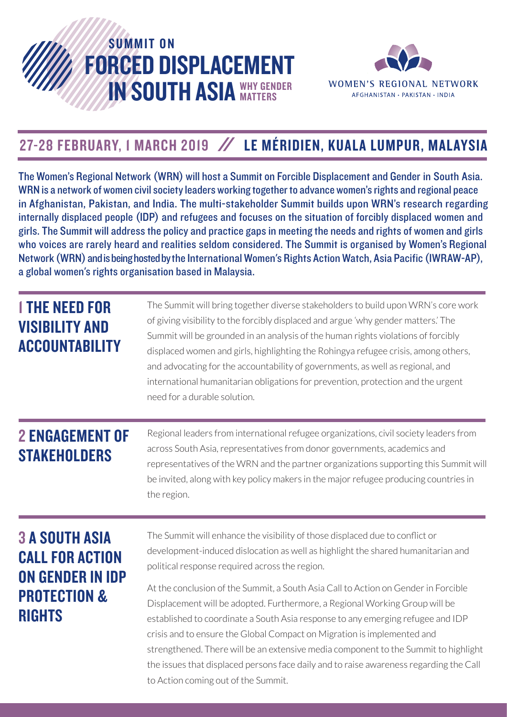



## 27-28 FEBRUARY, I MARCH 2019 / LE MÉRIDIEN, KUALA LUMPUR, MALAYSIA

The Women's Regional Network (WRN) will host a Summit on Forcible Displacement and Gender in South Asia. WRN is a network of women civil society leaders working together to advance women's rights and regional peace in Afghanistan, Pakistan, and India. The multi-stakeholder Summit builds upon WRN's research regarding internally displaced people (IDP) and refugees and focuses on the situation of forcibly displaced women and girls. The Summit will address the policy and practice gaps in meeting the needs and rights of women and girls who voices are rarely heard and realities seldom considered. The Summit is organised by Women's Regional Network (WRN) and is being hosted by the International Women's Rights Action Watch, Asia Pacific (IWRAW-AP), a global women's rights organisation based in Malaysia.

| <b>I THE NEED FOR</b><br><b>VISIBILITY AND</b><br><b>ACCOUNTABILITY</b>                                         | The Summit will bring together diverse stakeholders to build upon WRN's core work<br>of giving visibility to the forcibly displaced and argue 'why gender matters.' The<br>Summit will be grounded in an analysis of the human rights violations of forcibly<br>displaced women and girls, highlighting the Rohingya refugee crisis, among others,<br>and advocating for the accountability of governments, as well as regional, and<br>international humanitarian obligations for prevention, protection and the urgent<br>need for a durable solution.                                                                                                                                                                                                                      |
|-----------------------------------------------------------------------------------------------------------------|-------------------------------------------------------------------------------------------------------------------------------------------------------------------------------------------------------------------------------------------------------------------------------------------------------------------------------------------------------------------------------------------------------------------------------------------------------------------------------------------------------------------------------------------------------------------------------------------------------------------------------------------------------------------------------------------------------------------------------------------------------------------------------|
| <b>2 ENGAGEMENT OF</b><br><b>STAKEHOLDERS</b>                                                                   | Regional leaders from international refugee organizations, civil society leaders from<br>across South Asia, representatives from donor governments, academics and<br>representatives of the WRN and the partner organizations supporting this Summit will<br>be invited, along with key policy makers in the major refugee producing countries in<br>the region.                                                                                                                                                                                                                                                                                                                                                                                                              |
| <b>3 A SOUTH ASIA</b><br><b>CALL FOR ACTION</b><br>ON GENDER IN IDP<br><b>PROTECTION &amp;</b><br><b>RIGHTS</b> | The Summit will enhance the visibility of those displaced due to conflict or<br>development-induced dislocation as well as highlight the shared humanitarian and<br>political response required across the region.<br>At the conclusion of the Summit, a South Asia Call to Action on Gender in Forcible<br>Displacement will be adopted. Furthermore, a Regional Working Group will be<br>established to coordinate a South Asia response to any emerging refugee and IDP<br>crisis and to ensure the Global Compact on Migration is implemented and<br>strengthened. There will be an extensive media component to the Summit to highlight<br>the issues that displaced persons face daily and to raise awareness regarding the Call<br>to Action coming out of the Summit. |